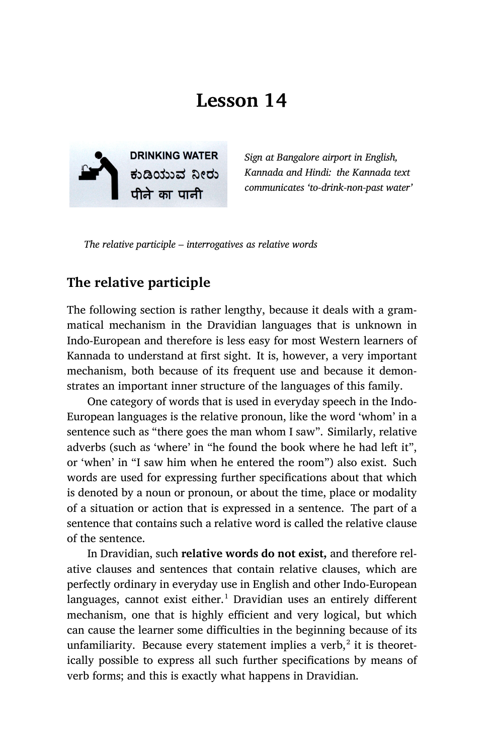# **Lesson 14**



*Sign at Bangalore airport in English, Kannada and Hindi: the Kannada text communicates 'to-drink-non-past water'*

*The relative participle – interrogatives as relative words*

#### **The relative participle**

The following section is rather lengthy, because it deals with a grammatical mechanism in the Dravidian languages that is unknown in Indo-European and therefore is less easy for most Western learners of Kannada to understand at first sight. It is, however, a very important mechanism, both because of its frequent use and because it demonstrates an important inner structure of the languages of this family.

One category of words that is used in everyday speech in the Indo-European languages is the relative pronoun, like the word 'whom' in a sentence such as "there goes the man whom I saw". Similarly, relative adverbs (such as 'where' in "he found the book where he had left it", or 'when' in "I saw him when he entered the room") also exist. Such words are used for expressing further specifications about that which is denoted by a noun or pronoun, or about the time, place or modality of a situation or action that is expressed in a sentence. The part of a sentence that contains such a relative word is called the relative clause of the sentence.

In Dravidian, such **relative words do not exist,** and therefore relative clauses and sentences that contain relative clauses, which are perfectly ordinary in everyday use in English and other Indo-European languages, cannot exist either.<sup>1</sup> Dravidian uses an entirely different mechanism, one that is highly efficient and very logical, but which can cause the learner some difficulties in the beginning because of its unfamiliarity. Because every statement implies a verb, $^2$  it is theoretically possible to express all such further specifications by means of verb forms; and this is exactly what happens in Dravidian.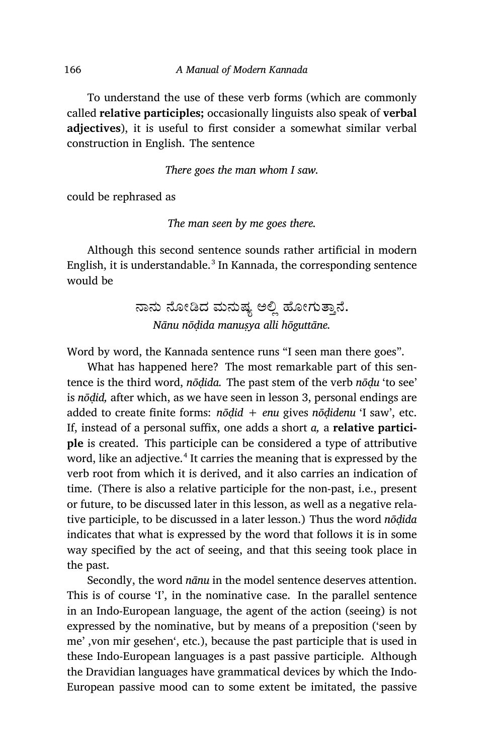To understand the use of these verb forms (which are commonly called **relative participles;** occasionally linguists also speak of **verbal adjectives**), it is useful to first consider a somewhat similar verbal construction in English. The sentence

*There goes the man whom I saw.*

could be rephrased as

*The man seen by me goes there.*

Although this second sentence sounds rather artificial in modern English, it is understandable. $^3$  In Kannada, the corresponding sentence would be

> ನಾನು ನೋಡಿದ ಮನುಷ್ಯ ಅಲ್ಲಿ ಹೋಗುತ್ತಾನೆ. *Nānu nōḍida manuṣya alli hōguttāne.*

Word by word, the Kannada sentence runs "I seen man there goes".

What has happened here? The most remarkable part of this sentence is the third word, *nōḍida.* The past stem of the verb *nōḍu* 'to see' is *nōḍid,* after which, as we have seen in lesson 3, personal endings are added to create finite forms: *nōḍid + enu* gives *nōḍidenu* 'I saw', etc. If, instead of a personal suffix, one adds a short *a,* a **relative participle** is created. This participle can be considered a type of attributive word, like an adjective.<sup>4</sup> It carries the meaning that is expressed by the verb root from which it is derived, and it also carries an indication of time. (There is also a relative participle for the non-past, i.e., present or future, to be discussed later in this lesson, as well as a negative relative participle, to be discussed in a later lesson.) Thus the word *nōḍida* indicates that what is expressed by the word that follows it is in some way specified by the act of seeing, and that this seeing took place in the past.

Secondly, the word *nānu* in the model sentence deserves attention. This is of course 'I', in the nominative case. In the parallel sentence in an Indo-European language, the agent of the action (seeing) is not expressed by the nominative, but by means of a preposition ('seen by me' ,von mir gesehen', etc.), because the past participle that is used in these Indo-European languages is a past passive participle. Although the Dravidian languages have grammatical devices by which the Indo-European passive mood can to some extent be imitated, the passive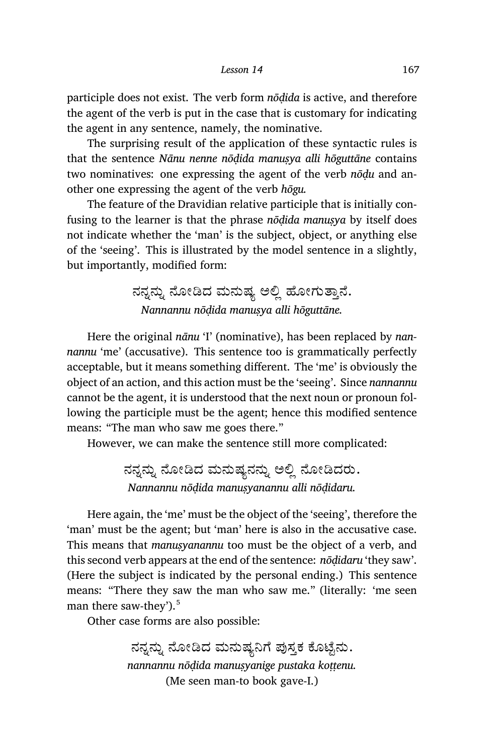participle does not exist. The verb form *nōḍida* is active, and therefore the agent of the verb is put in the case that is customary for indicating the agent in any sentence, namely, the nominative.

The surprising result of the application of these syntactic rules is that the sentence *Nānu nenne nōḍida manuṣya alli hōguttāne* contains two nominatives: one expressing the agent of the verb *nōḍu* and another one expressing the agent of the verb *hōgu.*

The feature of the Dravidian relative participle that is initially confusing to the learner is that the phrase *nōḍida manuṣya* by itself does not indicate whether the 'man' is the subject, object, or anything else of the 'seeing'. This is illustrated by the model sentence in a slightly, but importantly, modified form:

### ನನ್ನನ್ನು ನೋಡಿದ ಮನುಷ್ಯ ಅಲ್ಲಿ ಹೋಗುತ್ತಾನೆ. *Nannannu nōḍida manuṣya alli hōguttāne.*

Here the original *nānu* 'I' (nominative), has been replaced by *nannannu* 'me' (accusative). This sentence too is grammatically perfectly acceptable, but it means something different. The 'me' is obviously the object of an action, and this action must be the 'seeing'. Since *nannannu* cannot be the agent, it is understood that the next noun or pronoun following the participle must be the agent; hence this modified sentence means: "The man who saw me goes there."

However, we can make the sentence still more complicated:

ನನ್ನನ್ನು ನೋಡಿದ ಮನುಷ್ಯನನ್ನು ಅಲ್ಲಿ ನೋಡಿದರು. *Nannannu nōḍida manuṣyanannu alli nōḍidaru.*

Here again, the 'me' must be the object of the 'seeing', therefore the 'man' must be the agent; but 'man' here is also in the accusative case. This means that *manuṣyanannu* too must be the object of a verb, and this second verb appears at the end of the sentence: *nōḍidaru* 'they saw'. (Here the subject is indicated by the personal ending.) This sentence means: "There they saw the man who saw me." (literally: 'me seen man there saw-they').<sup>5</sup>

Other case forms are also possible:

ನನ್ನನ್ನು ನೋಡಿದ ಮನುಷ್ಯನಿಗೆ ಪುಸ್ತಕ ಕೊಟ್ಟೆನು. *nannannu nōḍida manuṣyanige pustaka koṭṭenu.* (Me seen man-to book gave-I.)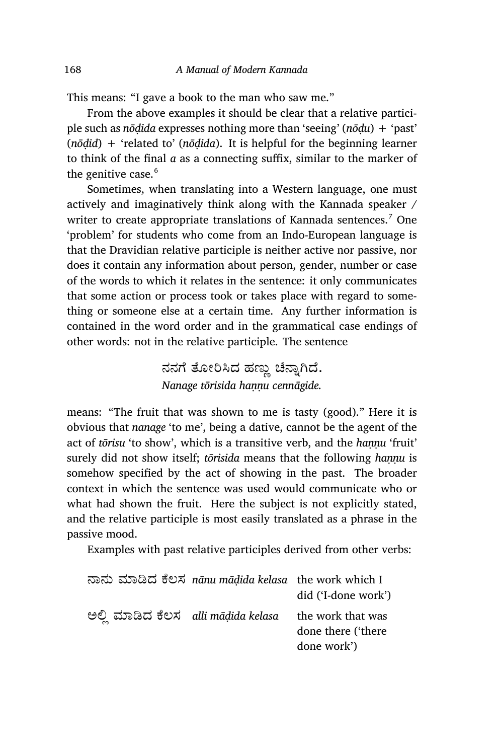This means: "I gave a book to the man who saw me."

From the above examples it should be clear that a relative participle such as *nōḍida* expresses nothing more than 'seeing' (*nōḍu*) + 'past' (*nōḍid*) + 'related to' (*nōḍida*). It is helpful for the beginning learner to think of the final *a* as a connecting suffix, similar to the marker of the genitive case.<sup>6</sup>

Sometimes, when translating into a Western language, one must actively and imaginatively think along with the Kannada speaker / writer to create appropriate translations of Kannada sentences.<sup>7</sup> One 'problem' for students who come from an Indo-European language is that the Dravidian relative participle is neither active nor passive, nor does it contain any information about person, gender, number or case of the words to which it relates in the sentence: it only communicates that some action or process took or takes place with regard to something or someone else at a certain time. Any further information is contained in the word order and in the grammatical case endings of other words: not in the relative participle. The sentence

### ನನಗೆ ತೋರಿಸಿದ ಹಣ್ಣು ಚೆನ್ನಾಗಿದೆ. *Nanage tōrisida haṇṇu cennāgide.*

means: "The fruit that was shown to me is tasty (good)." Here it is obvious that *nanage* 'to me', being a dative, cannot be the agent of the act of *tōrisu* 'to show', which is a transitive verb, and the *hannu* 'fruit' surely did not show itself; *tōrisida* means that the following *hannu* is somehow specified by the act of showing in the past. The broader context in which the sentence was used would communicate who or what had shown the fruit. Here the subject is not explicitly stated, and the relative participle is most easily translated as a phrase in the passive mood.

Examples with past relative participles derived from other verbs:

|                                   | ನಾನು ಮಾಡಿದ ಕೆಲಸ nānu māḍida kelasa the work which I | did ('I-done work')                                    |
|-----------------------------------|-----------------------------------------------------|--------------------------------------------------------|
| ಅಲಿ ಮಾಡಿದ ಕೆಲಸ alli māḍida kelasa |                                                     | the work that was<br>done there ('there<br>done work') |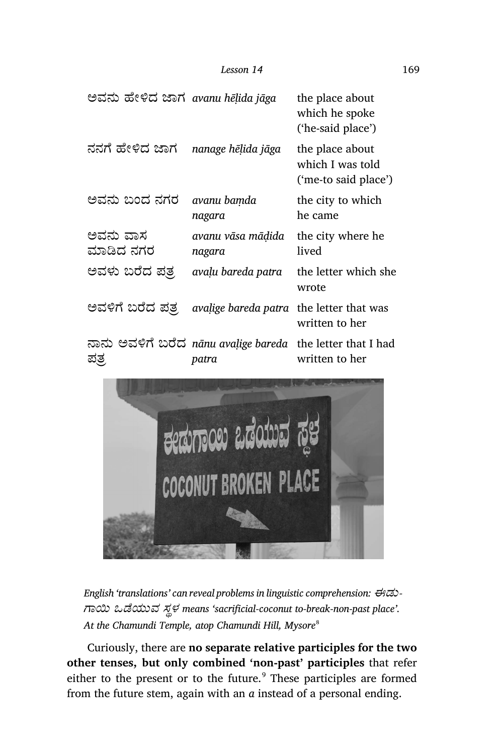| ಅವನು ಹೇಳಿದ ಜಾಗ avanu hēļida jāga |                                                                     | the place about<br>which he spoke<br>('he-said place')      |
|----------------------------------|---------------------------------------------------------------------|-------------------------------------------------------------|
| ನನಗೆ ಹೇಳಿದ ಜಾಗ                   | nanage hēļida jāga                                                  | the place about<br>which I was told<br>('me-to said place') |
| ಅವನು ಬಂದ ನಗರ                     | avanu bamda<br>nagara                                               | the city to which<br>he came                                |
| ಅವನು ವಾಸ<br>ಮಾಡಿದ ನಗರ            | avanu vāsa mādida<br>nagara                                         | the city where he<br>lived                                  |
| ಅವಳು ಬರೆದ ಪತ್ತ                   | avalu bareda patra                                                  | the letter which she<br>wrote                               |
| ಅವಳಿಗೆ ಬರೆದ ಪತ್ರ                 | avalige bareda patra                                                | the letter that was<br>written to her                       |
| ಪತ                               | ನಾನು ಅವಳಿಗೆ ಬರೆದ nānu avalige bareda the letter that I had<br>patra | written to her                                              |



*English 'translations' can reveal problems in linguistic comprehension: ಈಡು- ಾĥ ಒೆಯುವ ಸ´ಳ means 'sacrificial-coconut to-break-non-past place'. At the Chamundi Temple, atop Chamundi Hill, Mysore*<sup>8</sup>

Curiously, there are **no separate relative participles for the two other tenses, but only combined 'non-past' participles** that refer either to the present or to the future.<sup>9</sup> These participles are formed from the future stem, again with an *a* instead of a personal ending.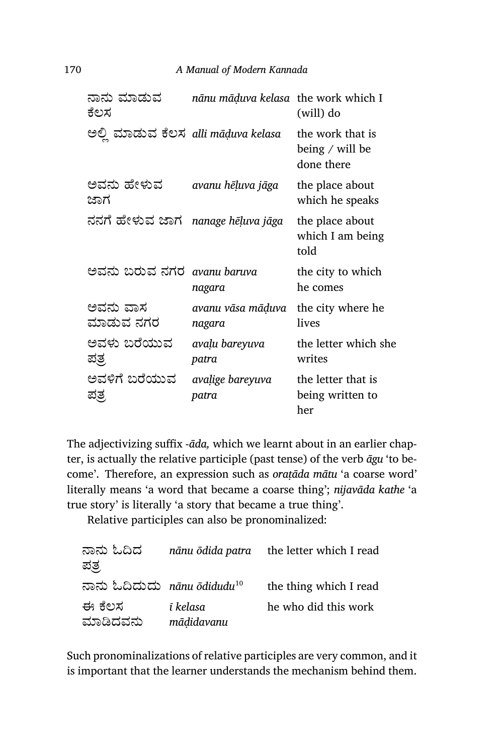| ನಾನು ಮಾಡುವ<br>ಕೆಲಸ                  | nānu māduva kelasa the work which I | (will) do                                         |
|-------------------------------------|-------------------------------------|---------------------------------------------------|
| ಅಲ್ಲಿ ಮಾಡುವ ಕೆಲಸ alli māḍuva kelasa |                                     | the work that is<br>being / will be<br>done there |
| ಅವನು ಹೇಳುವ<br>ಜಾಗ                   | avanu hēļuva jāga                   | the place about<br>which he speaks                |
| ನನಗೆ ಹೇಳುವ ಜಾಗ                      | nanage hēļuva jāga                  | the place about<br>which I am being<br>told       |
| ಅವನು ಬರುವ ನಗರ                       | avanu baruva<br>nagara              | the city to which<br>he comes                     |
| ಅವನು ವಾಸ<br>ಮಾಡುವ ನಗರ               | avanu vāsa māduva<br>nagara         | the city where he<br>lives                        |
| ಅವಳು ಬರೆಯುವ<br>ಪ್ರತ್ರ               | avaļu bareyuva<br>patra             | the letter which she<br>writes                    |
| ಅವಳಿಗೆ ಬರೆಯುವ<br>ಪತ್ರ               | avalige bareyuva<br>patra           | the letter that is<br>being written to<br>her     |

The adjectivizing suffix -*āda,* which we learnt about in an earlier chapter, is actually the relative participle (past tense) of the verb *āgu* 'to become'. Therefore, an expression such as *oraṭāda mātu* 'a coarse word' literally means 'a word that became a coarse thing'; *nijavāda kathe* 'a true story' is literally 'a story that became a true thing'.

Relative participles can also be pronominalized:

| ನಾನು ಓದಿದ<br>ಪತ್ರ                     |                        | <i>nānu ōdida patra</i> the letter which I read |
|---------------------------------------|------------------------|-------------------------------------------------|
| ನಾನು ಓದಿದುದು nānu ōdidudu $^{\rm 10}$ |                        | the thing which I read                          |
| ಈ ಕೆಲಸ<br>ಮಾಡಿದವನು                    | ī kelasa<br>mādidavanu | he who did this work                            |

Such pronominalizations of relative participles are very common, and it is important that the learner understands the mechanism behind them.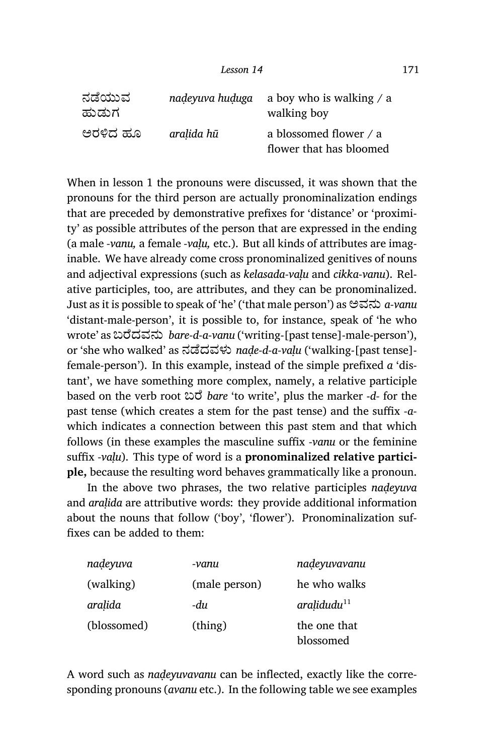| ನಡೆಯುವ<br>ಹುಡುಗ |            | nadeyuva huduga a boy who is walking $\alpha$ a<br>walking boy |
|-----------------|------------|----------------------------------------------------------------|
| ಅರಳಿದ ಹೂ        | aralida hū | a blossomed flower / a<br>flower that has bloomed              |

When in lesson 1 the pronouns were discussed, it was shown that the pronouns for the third person are actually pronominalization endings that are preceded by demonstrative prefixes for 'distance' or 'proximity' as possible attributes of the person that are expressed in the ending (a male *‑vanu,* a female *‑vaḷu,* etc.). But all kinds of attributes are imaginable. We have already come cross pronominalized genitives of nouns and adjectival expressions (such as *kelasada-vaḷu* and *cikka-vanu*). Relative participles, too, are attributes, and they can be pronominalized. Just as it is possible to speak of 'he' ('that male person') as ಅವನು *a-vanu* 'distant-male-person', it is possible to, for instance, speak of 'he who wrote' as ಬೆದವನು *bare-d-a-vanu* ('writing-[past tense]-male-person'), or 'she who walked' as ನೆದವಳು *naḍe-d-a-vaḷu* ('walking-[past tense] female-person'). In this example, instead of the simple prefixed *a* 'distant', we have something more complex, namely, a relative participle based on the verb root ಬೆ *bare* 'to write', plus the marker -*d-* for the past tense (which creates a stem for the past tense) and the suffix *-a*which indicates a connection between this past stem and that which follows (in these examples the masculine suffix *-vanu* or the feminine suffix *-vaḷu*). This type of word is a **pronominalized relative participle,** because the resulting word behaves grammatically like a pronoun.

In the above two phrases, the two relative participles *naḍeyuva* and *araḷida* are attributive words: they provide additional information about the nouns that follow ('boy', 'flower'). Pronominalization suffixes can be added to them:

| nadeyuva    | -vanu         | nadeyuvavanu              |
|-------------|---------------|---------------------------|
| (walking)   | (male person) | he who walks              |
| aralida     | -du           | aralidudu <sup>11</sup>   |
| (blossomed) | (thing)       | the one that<br>blossomed |

A word such as *naḍeyuvavanu* can be inflected, exactly like the corresponding pronouns (*avanu* etc.). In the following table we see examples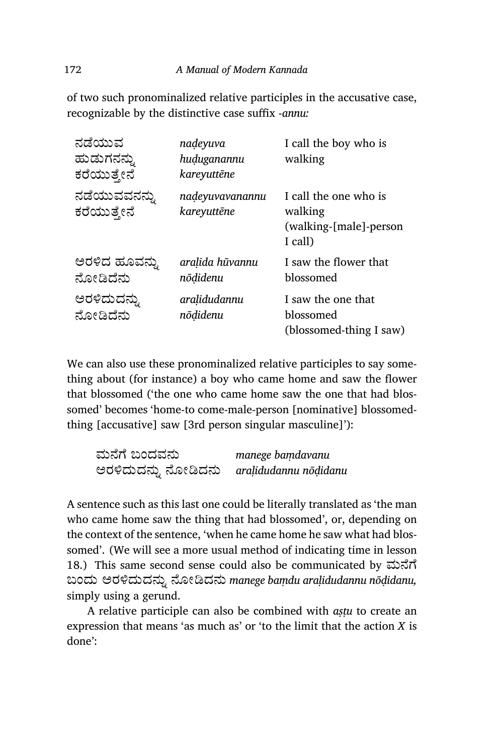of two such pronominalized relative participles in the accusative case, recognizable by the distinctive case suffix ‑*annu:*

| ನಡೆಯುವ<br>ಹುಡುಗನನ್ನು<br>ಕರೆಯುತ್ತೇನೆ | nadeyuva<br>huduganannu<br>kareyuttēne | I call the boy who is<br>walking                                      |
|-------------------------------------|----------------------------------------|-----------------------------------------------------------------------|
| ನಡೆಯುವವನನ್ನು<br>ಕರೆಯುತ್ತೇನೆ         | nadeyuvavanannu<br>kareyuttēne         | I call the one who is<br>walking<br>(walking-[male]-person<br>I call) |
| ಅರಳಿದ ಹೂವನ್ನು<br>ನೋಡಿದೆನು           | aralida hūvannu<br>nōdidenu            | I saw the flower that<br>blossomed                                    |
| ಅರಳಿದುದನ್ನು<br>ನೋಡಿದೆನು             | aralidudannu<br>nōdidenu               | I saw the one that<br>blossomed<br>(blossomed-thing I saw)            |

We can also use these pronominalized relative participles to say something about (for instance) a boy who came home and saw the flower that blossomed ('the one who came home saw the one that had blossomed' becomes 'home-to come-male-person [nominative] blossomedthing [accusative] saw [3rd person singular masculine]'):

| ಮನೆಗೆ ಬಂದವನು        | manege bamdavanu      |
|---------------------|-----------------------|
| ಅರಳಿದುದನ್ನು ನೋಡಿದನು | aralidudannu nōḍidanu |

A sentence such as this last one could be literally translated as 'the man who came home saw the thing that had blossomed', or, depending on the context of the sentence, 'when he came home he saw what had blossomed'. (We will see a more usual method of indicating time in lesson 18.) This same second sense could also be communicated by ಮೆೆ ಬಂದು ಅರĪದುದನು· ೋēದನು *manege baṃdu araḷidudannu nōḍidanu,* simply using a gerund.

A relative participle can also be combined with *aṣṭu* to create an expression that means 'as much as' or 'to the limit that the action *X* is done':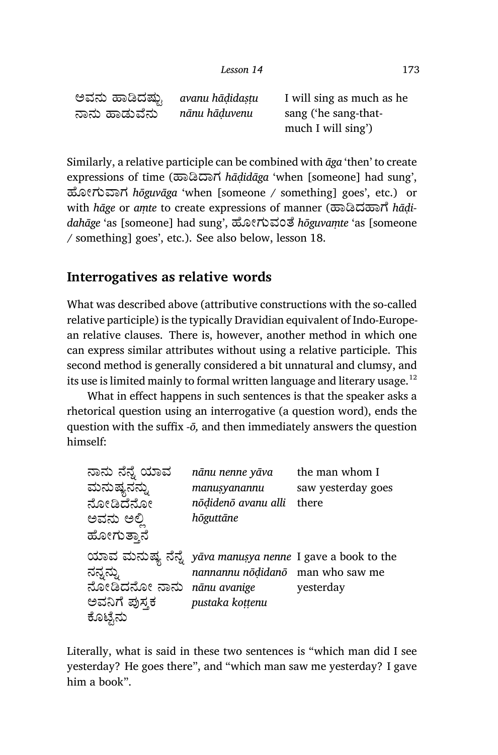ಅವನು ಹಾಡಿದಷ್ಟು ನಾನು ಹಾಡುವೆನು . *avanu hāḍidaṣṭu nānu hāḍuvenu* I will sing as much as he sang ('he sang-thatmuch I will sing')

Similarly, a relative participle can be combined with *āga* 'then' to create expressions of time (ಹಾಡಿದಾಗ *hādidāga* 'when [someone] had sung', ¢ೋಗು¡ಾಗ *hōguvāga* 'when [someone / something] goes', etc.) or  $w$ ith *hāge* or *amte* to create expressions of manner (ಹಾಡಿದಹಾಗೆ *hādidahāge* 'as [someone] had sung', ¢ೋಗುವಂೆ *hōguvaṃte* 'as [someone / something] goes', etc.). See also below, lesson 18.

#### **Interrogatives as relative words**

What was described above (attributive constructions with the so-called relative participle) is the typically Dravidian equivalent of Indo-European relative clauses. There is, however, another method in which one can express similar attributes without using a relative participle. This second method is generally considered a bit unnatural and clumsy, and its use is limited mainly to formal written language and literary usage.<sup>12</sup>

What in effect happens in such sentences is that the speaker asks a rhetorical question using an interrogative (a question word), ends the question with the suffix  $-\bar{o}$ , and then immediately answers the question himself:

| ನಾನು ನೆನ್ನೆ ಯಾವ<br>ಮನುಷ್ಯನನ್ನು<br>ನೋಡಿದೆನೋ<br>ಅವನು ಅಲ್ಲಿ<br>ಹೋಗುತ್ತಾನೆ | nānu nenne yāva<br>manusyanannu<br>nōḍidenō avanu alli<br>hōguttāne                                                     | the man whom I<br>saw yesterday goes<br>there |
|------------------------------------------------------------------------|-------------------------------------------------------------------------------------------------------------------------|-----------------------------------------------|
| ನನ್ನನ್ನು<br>ನೋಡಿದನೋ ನಾನು nānu avanige<br>ಅವನಿಗೆ ಪುಸ್ತಕ<br>ಕೊಟ್ಟೆನು     | ಯಾವ ಮನುಷ್ಯ ನೆನ್ನೆ <i>yāva manuṣya nenne</i> I gave a book to the<br>nannannu nōḍidanō man who saw me<br>pustaka kottenu | yesterday                                     |

Literally, what is said in these two sentences is "which man did I see yesterday? He goes there", and "which man saw me yesterday? I gave him a book".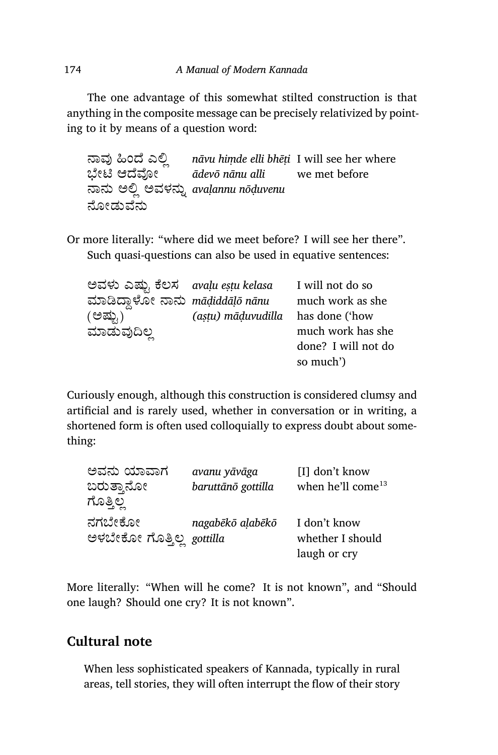The one advantage of this somewhat stilted construction is that anything in the composite message can be precisely relativized by pointing to it by means of a question word:

<u>ಸ್ತಾವು ಹಿಂದ್ಧ ಎಲ್ಲ nāvu himde elli bhēṭi I will see her where</u> ಭೇಟಿ ಆದೆವೋ ನಾನು ಅಲ್ಲಿ ಅವಳನ್ನು avaḷannu nōḍuvenu ನೋಡುವೆನು *ādevō nānu alli* we met before

Or more literally: "where did we meet before? I will see her there". Such quasi-questions can also be used in equative sentences:

| ಅವಳು ಎಷ್ಟು ಕೆಲಸ avaḷu eṣṭu kelasa |                    | I will not do so    |
|-----------------------------------|--------------------|---------------------|
| ಮಾಡಿದ್ದಾಳೋ ನಾನು māḍiddāḷō nānu    |                    | much work as she    |
| (ಅಷ್ರು)                           | (aştu) māduvudilla | has done ('how      |
| ಮಾಡುವುದಿಲ್ಲ                       |                    | much work has she   |
|                                   |                    | done? I will not do |
|                                   |                    | so much')           |

Curiously enough, although this construction is considered clumsy and artificial and is rarely used, whether in conversation or in writing, a shortened form is often used colloquially to express doubt about something:

| ಅವನು ಯಾವಾಗ                | avanu yāvāga       | [I] don't know                |
|---------------------------|--------------------|-------------------------------|
| ಬರುತ್ತಾನೋ                 | baruttānō gottilla | when he'll come <sup>13</sup> |
| ಗೊತ್ತಿಲ್ಲ                 |                    |                               |
| ನಗಬೇಕೋ                    | nagabēkō aļabēkō   | I don't know                  |
| ಅಳಬೇಕೋ ಗೊತ್ತಿಲ್ಲ gottilla |                    | whether I should              |
|                           |                    | laugh or cry                  |

More literally: "When will he come? It is not known", and "Should one laugh? Should one cry? It is not known".

#### **Cultural note**

When less sophisticated speakers of Kannada, typically in rural areas, tell stories, they will often interrupt the flow of their story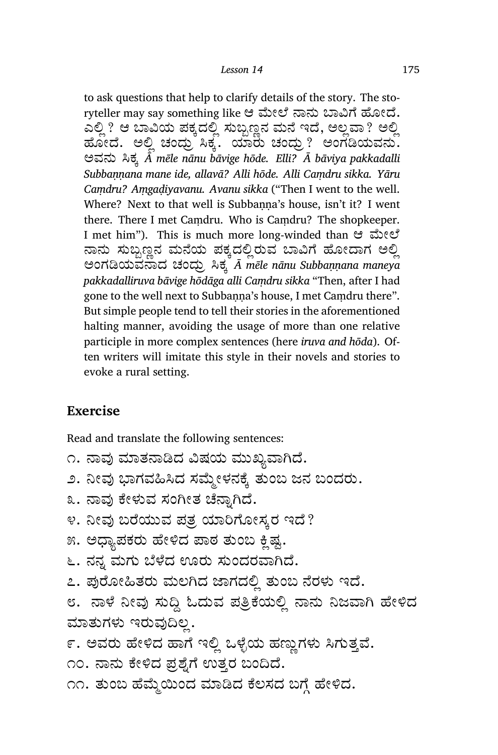to ask questions that help to clarify details of the story. The storyteller may say something like ಆ ಮೇಲೆ ನಾನು ಬಾವಿಗೆ ಹೋದೆ. ಎಲ್ಲಿ ? ಆ ಬಾವಿಯ ಪಕ್ಕದಲ್ಲಿ ಸುಬ್ಬಣ್ಣನ ಮನೆ ಇದೆ, ಅಲ್ಲವಾ ? ಅಲ್ಲಿ ಹೋದೆ. ಅಲ್ಲಿ ಚಂಧ್ರು ಸಿಕ್ಕೆ. ಯಾರು ಚಂದ್ರು? ಅಂಗಡಿಯವನು. ಅವನು Įಕ¤ *Ā mēle nānu bāvige hōde. Elli? Ā bāviya pakkadalli Subbaṇṇana mane ide, allavā? Alli hōde. Alli Caṃdru sikka. Yāru Caṃdru? Aṃgaḍiyavanu. Avanu sikka* ("Then I went to the well. Where? Next to that well is Subbanna's house, isn't it? I went there. There I met Caṃdru. Who is Caṃdru? The shopkeeper. I met him"). This is much more long-winded than ಆ ಮೇಲೆ ನಾನು ಸುಬ್ಬಣ್ಣನ ಮನೆಯ ಪಕ್ಕದಲ್ಲಿರುವ ಬಾವಿಗೆ ಹೋದಾಗ ಅಲ್ಲಿ ಅಂಗēಯವಾದ ಚಂದು¾ Įಕ¤ *Ā mēle nānu Subbaṇṇana maneya pakka dalli ruva bāvige hōdāga alli Caṃdru sikka* "Then, after I had gone to the well next to Subbanna's house, I met Camdru there". But simple people tend to tell their stories in the aforementioned halting manner, avoiding the usage of more than one relative participle in more complex sentences (here *iruva and hōda*). Often writers will imitate this style in their novels and stories to evoke a rural setting.

#### **Exercise**

Read and translate the following sentences:

- ೧. ನಾವು ಮಾತನಾಡಿದ ವಿಷಯ ಮುಖ್ಯವಾಗಿದೆ.
- ೨. ನೀವು ಭಾಗವಹಿಸಿದ ಸಮ್ಮೇಳನಕ್ಕೆ ತುಂಬ ಜನ ಬಂದರು.
- ೩. ನಾವು ಕೇಳುವ ಸಂಗೀತ ಚೆನ್ನಾಗಿದೆ.
- ೪. ನೀವು ಬರೆಯುವ ಪತ್ರ ಯಾರಿಗೋಸ್ಕರ ಇದೆ?
- ೫. ಅಧ್ಯಾಪಕರು ಹೇಳಿದ ಪಾಠ ತುಂಬ ಕ್ಷಿಷ್ಟ.
- ೬. ನನ್ನ ಮಗು ಬೆಳೆದ ಊರು ಸುಂದರವಾಗಿದೆ.
- ೭. ಪುರೋಹಿತರು ಮಲಗಿದ ಜಾಗದಲ್ಲಿ ತುಂಬ ನೆರಳು ಇದೆ.
- ೮. ನಾಳೆ ನೀವು ಸುದ್ದಿ ಓದುವ ಪ್ರತ್ರಿಕೆಯಲ್ಲಿ ನಾನು ನಿಜವಾಗಿ ಹೇಳಿದ ಮಾತುಗಳು ಇರುವುದಿಲ್ಲ.
- ೯. ಅವರು ಹೇಳಿದ ಹಾಗೆ ಇಲ್ಲಿ ಒಳ್ಳೆಯ ಹಣ್ಣುಗಳು ಸಿಗುತ್ತವೆ.

೧೦. ನಾನು ಕೇಳಿದ ಪ್ರಶ್ನೆಗೆ ಉತ್ತರ ಬಂದಿದೆ.

೧೧. ತುಂಬ ಹೆಮ್ಮೆಯಿಂದ ಮಾಡಿದ ಕೆಲಸದ ಬಗ್ಗೆ ಹೇಳಿದ.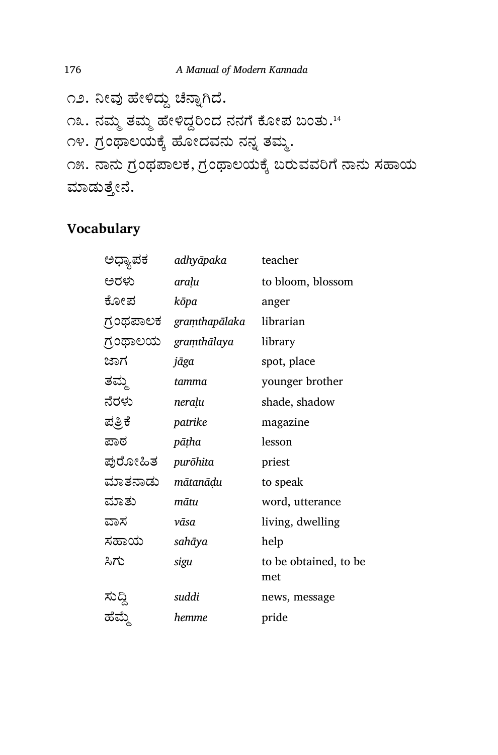೧೨. ನೀವು ಹೇಳಿದ್ದು ಚೆನ್ನಾಗಿದೆ. ೧೩. ನಮ್ಮ ತಮ್ಮ ಹೇಳಿದ್ದರಿಂದ ನನಗೆ ಕೋಪ ಬಂತು.<sup>14</sup> ೧೪. ಗ್ರಂಥಾಲಯಕ್ಕೆ ಹೋದವನು ನನ್ನ ತಮ್ಮ. ೧೫. ನಾನು ಗ್ರಂಥಪಾಲಕ, ಗ್ರಂಥಾಲಯಕ್ಕೆ ಬರುವವರಿಗೆ ನಾನು ಸಹಾಯ ಮಾಡುತ್ತೇನೆ.

## **Vocabulary**

| ಅಧ್ಯಾಪಕ | adhyāpaka               | teacher                      |
|---------|-------------------------|------------------------------|
| ಅರಳು    | araļu                   | to bloom, blossom            |
| ಕೋಪ     | kōpa                    | anger                        |
|         | ಗ್ರಂಥಪಾಲಕ graṃthapālaka | librarian                    |
|         | ಗ್ರಂಥಾಲಯ graṃthālaya    | library                      |
| ಜಾಗ     | jāga                    | spot, place                  |
| ತಮ್ಮ    | tamma                   | younger brother              |
| ನೆರಳು   | neraļu                  | shade, shadow                |
| ಪ್ರತಿಕೆ | patrike                 | magazine                     |
| ಪಾಠ     | pāṭha                   | lesson                       |
| ಪುರೋಹಿತ | purōhita                | priest                       |
| ಮಾತನಾಡು | mātanāḍu                | to speak                     |
| ಮಾತು    | mātu                    | word, utterance              |
| ವಾಸ     | vāsa                    | living, dwelling             |
| ಸಹಾಯ    | sahāya                  | help                         |
| ಸಿಗು    | sigu                    | to be obtained, to be<br>met |
| ಸುದ್ದಿ  | suddi                   | news, message                |
| ಹೆಮ್ಮೆ  | hemme                   | pride                        |
|         |                         |                              |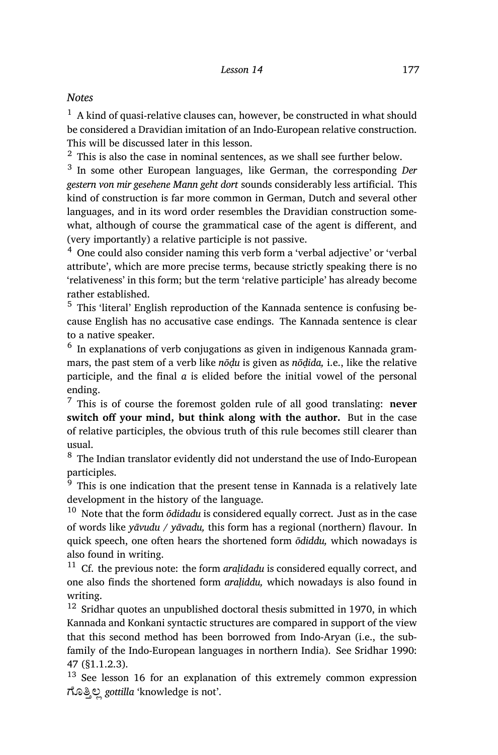#### *Notes*

 $1$  A kind of quasi-relative clauses can, however, be constructed in what should be considered a Dravidian imitation of an Indo-European relative construction. This will be discussed later in this lesson.

 $2$  This is also the case in nominal sentences, as we shall see further below.

3 In some other European languages, like German, the corresponding *Der gestern von mir gesehene Mann geht dort* sounds considerably less artificial. This kind of construction is far more common in German, Dutch and several other languages, and in its word order resembles the Dravidian construction somewhat, although of course the grammatical case of the agent is different, and (very importantly) a relative participle is not passive.

<sup>4</sup> One could also consider naming this verb form a 'verbal adjective' or 'verbal attribute', which are more precise terms, because strictly speaking there is no 'relativeness' in this form; but the term 'relative participle' has already become rather established.

<sup>5</sup> This 'literal' English reproduction of the Kannada sentence is confusing because English has no accusative case endings. The Kannada sentence is clear to a native speaker.

 $^6$  In explanations of verb conjugations as given in indigenous Kannada grammars, the past stem of a verb like *nōḍu* is given as *nōḍida,* i.e., like the relative participle, and the final *a* is elided before the initial vowel of the personal ending.

<sup>7</sup> This is of course the foremost golden rule of all good translating: **never switch off your mind, but think along with the author.** But in the case of relative participles, the obvious truth of this rule becomes still clearer than usual.

<sup>8</sup> The Indian translator evidently did not understand the use of Indo-European participles.

 $\frac{1}{9}$  This is one indication that the present tense in Kannada is a relatively late development in the history of the language.

<sup>10</sup> Note that the form *ōdidadu* is considered equally correct. Just as in the case of words like *yāvudu / yāvadu,* this form has a regional (northern) flavour. In quick speech, one often hears the shortened form *ōdiddu,* which nowadays is also found in writing.

<sup>11</sup> Cf. the previous note: the form *araḷidadu* is considered equally correct, and one also finds the shortened form *araḷiddu,* which nowadays is also found in writing.

 $12$  Sridhar quotes an unpublished doctoral thesis submitted in 1970, in which Kannada and Konkani syntactic structures are compared in support of the view that this second method has been borrowed from Indo-Aryan (i.e., the subfamily of the Indo-European languages in northern India). See Sridhar 1990: 47 (§1.1.2.3).

<sup>13</sup> See lesson 16 for an explanation of this extremely common expression ಗೊತ್ತಿಲ್ಲ gottilla 'knowledge is not'.